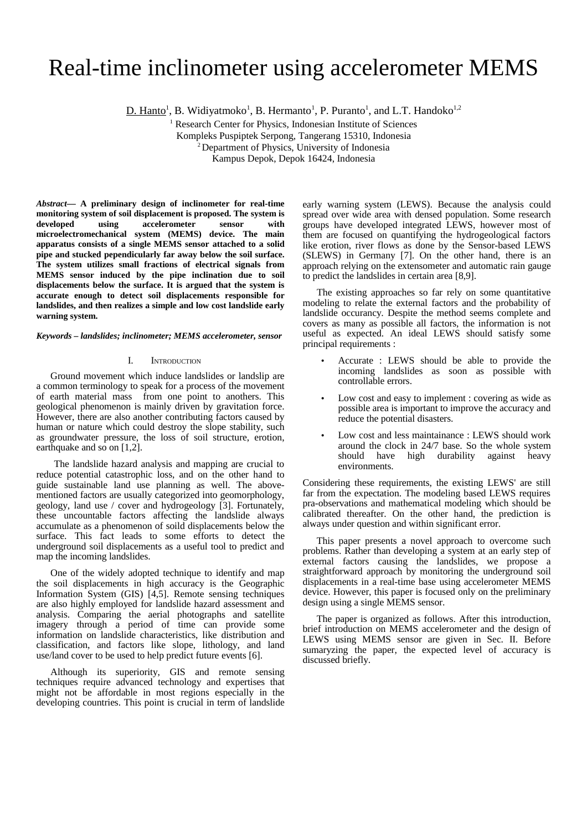# Real-time inclinometer using accelerometer MEMS

 $D.$  Hanto<sup>1</sup>, B. Widiyatmoko<sup>1</sup>, B. Hermanto<sup>1</sup>, P. Puranto<sup>1</sup>, and L.T. Handoko<sup>1,2</sup>

<sup>1</sup> Research Center for Physics, Indonesian Institute of Sciences Kompleks Puspiptek Serpong, Tangerang 15310, Indonesia <sup>2</sup> Department of Physics, University of Indonesia Kampus Depok, Depok 16424, Indonesia

*Abstract***— A preliminary design of inclinometer for real-time monitoring system of soil displacement is proposed. The system is developed using accelerometer sensor with microelectromechanical system (MEMS) device. The main apparatus consists of a single MEMS sensor attached to a solid pipe and stucked pependicularly far away below the soil surface. The system utilizes small fractions of electrical signals from MEMS sensor induced by the pipe inclination due to soil displacements below the surface. It is argued that the system is accurate enough to detect soil displacements responsible for landslides, and then realizes a simple and low cost landslide early warning system.**

# *Keywords – landslides; inclinometer; MEMS accelerometer, sensor*

# I. INTRODUCTION

Ground movement which induce landslides or landslip are a common terminology to speak for a process of the movement of earth material mass from one point to anothers. This geological phenomenon is mainly driven by gravitation force. However, there are also another contributing factors caused by human or nature which could destroy the slope stability, such as groundwater pressure, the loss of soil structure, erotion, earthquake and so on [1,2].

 The landslide hazard analysis and mapping are crucial to reduce potential catastrophic loss, and on the other hand to guide sustainable land use planning as well. The abovementioned factors are usually categorized into geomorphology, geology, land use / cover and hydrogeology [3]. Fortunately, these uncountable factors affecting the landslide always accumulate as a phenomenon of soild displacements below the surface. This fact leads to some efforts to detect the underground soil displacements as a useful tool to predict and map the incoming landslides.

One of the widely adopted technique to identify and map the soil displacements in high accuracy is the Geographic Information System (GIS) [4,5]. Remote sensing techniques are also highly employed for landslide hazard assessment and analysis. Comparing the aerial photographs and satellite imagery through a period of time can provide some information on landslide characteristics, like distribution and classification, and factors like slope, lithology, and land use/land cover to be used to help predict future events [6].

Although its superiority, GIS and remote sensing techniques require advanced technology and expertises that might not be affordable in most regions especially in the developing countries. This point is crucial in term of landslide

early warning system (LEWS). Because the analysis could spread over wide area with densed population. Some research groups have developed integrated LEWS, however most of them are focused on quantifying the hydrogeological factors like erotion, river flows as done by the Sensor-based LEWS (SLEWS) in Germany [7]. On the other hand, there is an approach relying on the extensometer and automatic rain gauge to predict the landslides in certain area [8,9].

The existing approaches so far rely on some quantitative modeling to relate the external factors and the probability of landslide occurancy. Despite the method seems complete and covers as many as possible all factors, the information is not useful as expected. An ideal LEWS should satisfy some principal requirements :

- Accurate : LEWS should be able to provide the incoming landslides as soon as possible with controllable errors.
- Low cost and easy to implement : covering as wide as possible area is important to improve the accuracy and reduce the potential disasters.
- Low cost and less maintainance : LEWS should work around the clock in 24/7 base. So the whole system should have high durability against heavy environments.

Considering these requirements, the existing LEWS' are still far from the expectation. The modeling based LEWS requires pra-observations and mathematical modeling which should be calibrated thereafter. On the other hand, the prediction is always under question and within significant error.

This paper presents a novel approach to overcome such problems. Rather than developing a system at an early step of external factors causing the landslides, we propose a straightforward approach by monitoring the underground soil displacements in a real-time base using accelerometer MEMS device. However, this paper is focused only on the preliminary design using a single MEMS sensor.

The paper is organized as follows. After this introduction, brief introduction on MEMS accelerometer and the design of LEWS using MEMS sensor are given in Sec. II. Before sumaryzing the paper, the expected level of accuracy is discussed briefly.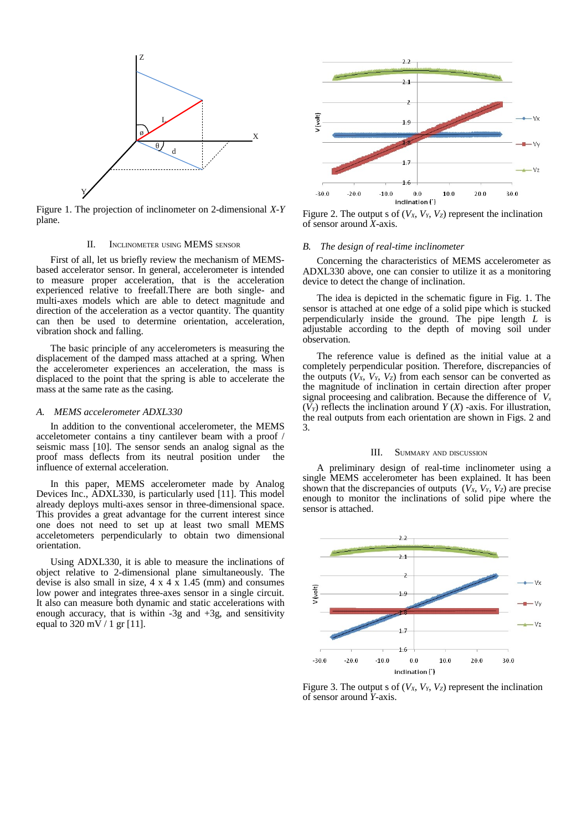

Figure 1. The projection of inclinometer on 2-dimensional *X-Y* plane.

## II. INCLINOMETER USING MEMS SENSOR

First of all, let us briefly review the mechanism of MEMSbased accelerator sensor. In general, accelerometer is intended to measure proper acceleration, that is the acceleration experienced relative to freefall.There are both single- and multi-axes models which are able to detect magnitude and direction of the acceleration as a vector quantity. The quantity can then be used to determine orientation, acceleration, vibration shock and falling.

The basic principle of any accelerometers is measuring the displacement of the damped mass attached at a spring. When the accelerometer experiences an acceleration, the mass is displaced to the point that the spring is able to accelerate the mass at the same rate as the casing.

#### *A. MEMS accelerometer ADXL330*

In addition to the conventional accelerometer, the MEMS acceletometer contains a tiny cantilever beam with a proof / seismic mass [10]. The sensor sends an analog signal as the proof mass deflects from its neutral position under the influence of external acceleration.

In this paper, MEMS accelerometer made by Analog Devices Inc., ADXL330, is particularly used [11]. This model already deploys multi-axes sensor in three-dimensional space. This provides a great advantage for the current interest since one does not need to set up at least two small MEMS acceletometers perpendicularly to obtain two dimensional orientation.

Using ADXL330, it is able to measure the inclinations of object relative to 2-dimensional plane simultaneously. The devise is also small in size,  $4 \times 4 \times 1.45$  (mm) and consumes low power and integrates three-axes sensor in a single circuit. It also can measure both dynamic and static accelerations with enough accuracy, that is within  $-3g$  and  $+3g$ , and sensitivity equal to 320 mV  $/$  1 gr [11].



Figure 2. The output s of  $(V_X, V_Y, V_Z)$  represent the inclination of sensor around *X*-axis.

## *B. The design of real-time inclinometer*

Concerning the characteristics of MEMS accelerometer as ADXL330 above, one can consier to utilize it as a monitoring device to detect the change of inclination.

The idea is depicted in the schematic figure in Fig. 1. The sensor is attached at one edge of a solid pipe which is stucked perpendicularly inside the ground. The pipe length *L* is adjustable according to the depth of moving soil under observation.

The reference value is defined as the initial value at a completely perpendicular position. Therefore, discrepancies of the outputs  $(V_X, V_Y, V_Z)$  from each sensor can be converted as the magnitude of inclination in certain direction after proper signal proceesing and calibration. Because the difference of *V<sup>x</sup>*  $(V_Y)$  reflects the inclination around  $Y(X)$  -axis. For illustration, the real outputs from each orientation are shown in Figs. 2 and 3.

## III. SUMMARY AND DISCUSSION

A preliminary design of real-time inclinometer using a single MEMS accelerometer has been explained. It has been shown that the discrepancies of outputs  $(V_X, V_Y, V_Z)$  are precise enough to monitor the inclinations of solid pipe where the sensor is attached.



Figure 3. The output s of  $(V_X, V_Y, V_Z)$  represent the inclination of sensor around *Y*-axis.